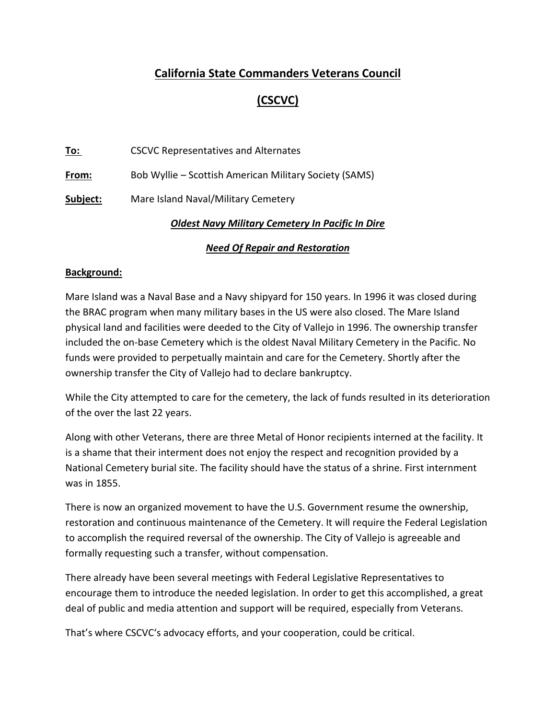## **California State Commanders Veterans Council**

# **(CSCVC)**

**To:** CSCVC Representatives and Alternates

**From:** Bob Wyllie – Scottish American Military Society (SAMS)

**Subject:** Mare Island Naval/Military Cemetery

#### *Oldest Navy Military Cemetery In Pacific In Dire*

### *Need Of Repair and Restoration*

#### **Background:**

Mare Island was a Naval Base and a Navy shipyard for 150 years. In 1996 it was closed during the BRAC program when many military bases in the US were also closed. The Mare Island physical land and facilities were deeded to the City of Vallejo in 1996. The ownership transfer included the on-base Cemetery which is the oldest Naval Military Cemetery in the Pacific. No funds were provided to perpetually maintain and care for the Cemetery. Shortly after the ownership transfer the City of Vallejo had to declare bankruptcy.

While the City attempted to care for the cemetery, the lack of funds resulted in its deterioration of the over the last 22 years.

Along with other Veterans, there are three Metal of Honor recipients interned at the facility. It is a shame that their interment does not enjoy the respect and recognition provided by a National Cemetery burial site. The facility should have the status of a shrine. First internment was in 1855.

There is now an organized movement to have the U.S. Government resume the ownership, restoration and continuous maintenance of the Cemetery. It will require the Federal Legislation to accomplish the required reversal of the ownership. The City of Vallejo is agreeable and formally requesting such a transfer, without compensation.

There already have been several meetings with Federal Legislative Representatives to encourage them to introduce the needed legislation. In order to get this accomplished, a great deal of public and media attention and support will be required, especially from Veterans.

That's where CSCVC's advocacy efforts, and your cooperation, could be critical.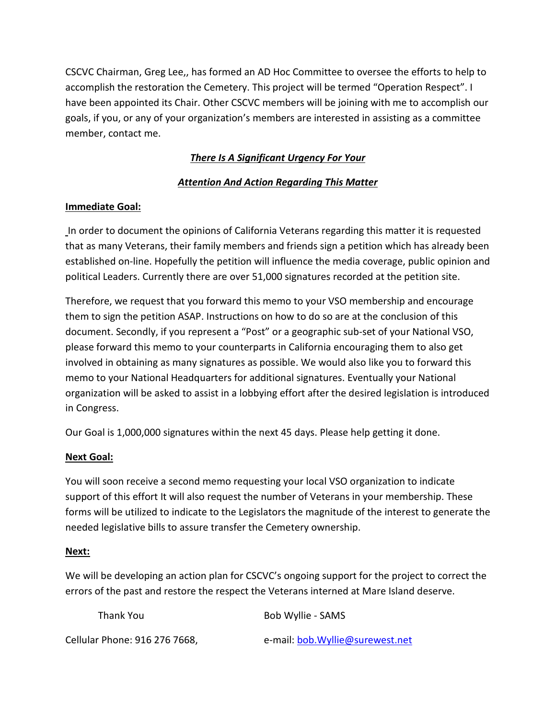CSCVC Chairman, Greg Lee,, has formed an AD Hoc Committee to oversee the efforts to help to accomplish the restoration the Cemetery. This project will be termed "Operation Respect". I have been appointed its Chair. Other CSCVC members will be joining with me to accomplish our goals, if you, or any of your organization's members are interested in assisting as a committee member, contact me.

## *There Is A Significant Urgency For Your*

### *Attention And Action Regarding This Matter*

### **Immediate Goal:**

In order to document the opinions of California Veterans regarding this matter it is requested that as many Veterans, their family members and friends sign a petition which has already been established on-line. Hopefully the petition will influence the media coverage, public opinion and political Leaders. Currently there are over 51,000 signatures recorded at the petition site.

Therefore, we request that you forward this memo to your VSO membership and encourage them to sign the petition ASAP. Instructions on how to do so are at the conclusion of this document. Secondly, if you represent a "Post" or a geographic sub-set of your National VSO, please forward this memo to your counterparts in California encouraging them to also get involved in obtaining as many signatures as possible. We would also like you to forward this memo to your National Headquarters for additional signatures. Eventually your National organization will be asked to assist in a lobbying effort after the desired legislation is introduced in Congress.

Our Goal is 1,000,000 signatures within the next 45 days. Please help getting it done.

### **Next Goal:**

You will soon receive a second memo requesting your local VSO organization to indicate support of this effort It will also request the number of Veterans in your membership. These forms will be utilized to indicate to the Legislators the magnitude of the interest to generate the needed legislative bills to assure transfer the Cemetery ownership.

#### **Next:**

We will be developing an action plan for CSCVC's ongoing support for the project to correct the errors of the past and restore the respect the Veterans interned at Mare Island deserve.

| Thank You                     | Bob Wyllie - SAMS                |
|-------------------------------|----------------------------------|
| Cellular Phone: 916 276 7668, | e-mail: bob. Wyllie@surewest.net |